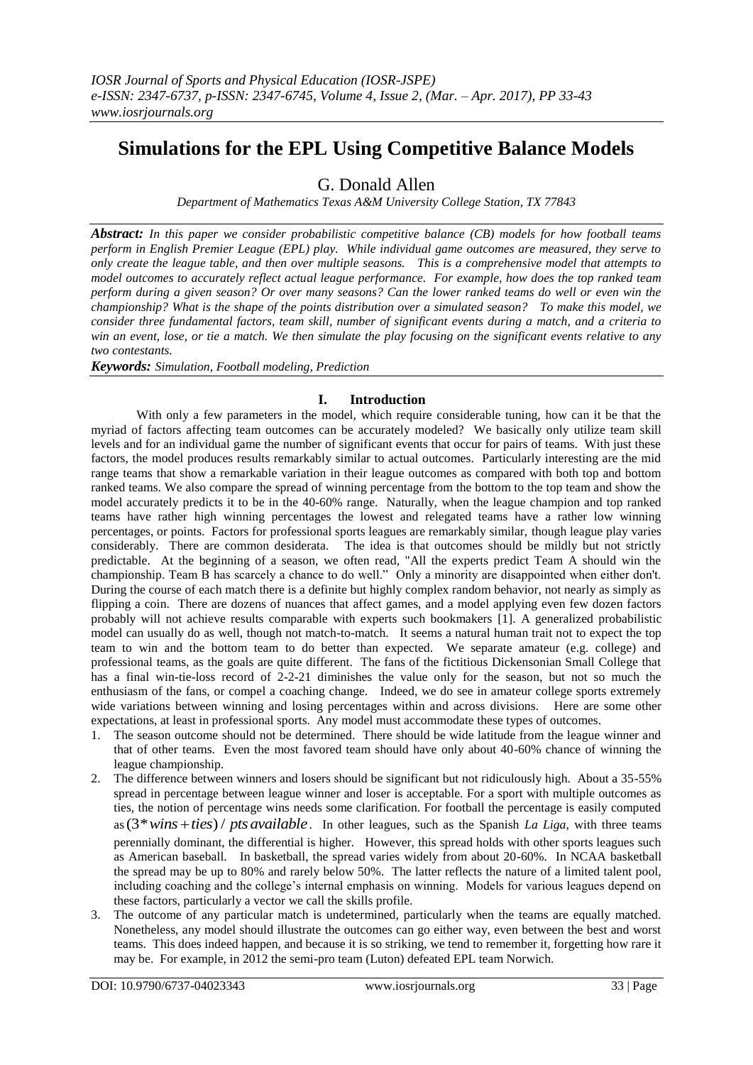# **Simulations for the EPL Using Competitive Balance Models**

G. Donald Allen

*Department of Mathematics Texas A&M University College Station, TX 77843*

*Abstract: In this paper we consider probabilistic competitive balance (CB) models for how football teams perform in English Premier League (EPL) play. While individual game outcomes are measured, they serve to only create the league table, and then over multiple seasons. This is a comprehensive model that attempts to model outcomes to accurately reflect actual league performance. For example, how does the top ranked team perform during a given season? Or over many seasons? Can the lower ranked teams do well or even win the championship? What is the shape of the points distribution over a simulated season? To make this model, we consider three fundamental factors, team skill, number of significant events during a match, and a criteria to win an event, lose, or tie a match. We then simulate the play focusing on the significant events relative to any two contestants.* 

*Keywords: Simulation, Football modeling, Prediction*

## **I. Introduction**

With only a few parameters in the model, which require considerable tuning, how can it be that the myriad of factors affecting team outcomes can be accurately modeled? We basically only utilize team skill levels and for an individual game the number of significant events that occur for pairs of teams. With just these factors, the model produces results remarkably similar to actual outcomes. Particularly interesting are the mid range teams that show a remarkable variation in their league outcomes as compared with both top and bottom ranked teams. We also compare the spread of winning percentage from the bottom to the top team and show the model accurately predicts it to be in the 40-60% range. Naturally, when the league champion and top ranked teams have rather high winning percentages the lowest and relegated teams have a rather low winning percentages, or points. Factors for professional sports leagues are remarkably similar, though league play varies considerably. There are common desiderata. The idea is that outcomes should be mildly but not strictly predictable. At the beginning of a season, we often read, "All the experts predict Team A should win the championship. Team B has scarcely a chance to do well." Only a minority are disappointed when either don't. During the course of each match there is a definite but highly complex random behavior, not nearly as simply as flipping a coin. There are dozens of nuances that affect games, and a model applying even few dozen factors probably will not achieve results comparable with experts such bookmakers [1]. A generalized probabilistic model can usually do as well, though not match-to-match. It seems a natural human trait not to expect the top team to win and the bottom team to do better than expected. We separate amateur (e.g. college) and professional teams, as the goals are quite different. The fans of the fictitious Dickensonian Small College that has a final win-tie-loss record of 2-2-21 diminishes the value only for the season, but not so much the enthusiasm of the fans, or compel a coaching change. Indeed, we do see in amateur college sports extremely wide variations between winning and losing percentages within and across divisions. Here are some other expectations, at least in professional sports. Any model must accommodate these types of outcomes.

- 1. The season outcome should not be determined. There should be wide latitude from the league winner and that of other teams. Even the most favored team should have only about 40-60% chance of winning the league championship.
- 2. The difference between winners and losers should be significant but not ridiculously high. About a 35-55% spread in percentage between league winner and loser is acceptable. For a sport with multiple outcomes as ties, the notion of percentage wins needs some clarification. For football the percentage is easily computed ties, the notion of percentage wins needs some clarification. For football the percentage is easily computed as  $(3* wins + ties) / pts available$ . In other leagues, such as the Spanish *La Liga*, with three teams perennially dominant, the differential is higher. However, this spread holds with other sports leagues such as American baseball. In basketball, the spread varies widely from about 20-60%. In NCAA basketball the spread may be up to 80% and rarely below 50%. The latter reflects the nature of a limited talent pool, including coaching and the college's internal emphasis on winning. Models for various leagues depend on these factors, particularly a vector we call the skills profile.
- 3. The outcome of any particular match is undetermined, particularly when the teams are equally matched. Nonetheless, any model should illustrate the outcomes can go either way, even between the best and worst teams. This does indeed happen, and because it is so striking, we tend to remember it, forgetting how rare it may be. For example, in 2012 the semi-pro team (Luton) defeated EPL team Norwich.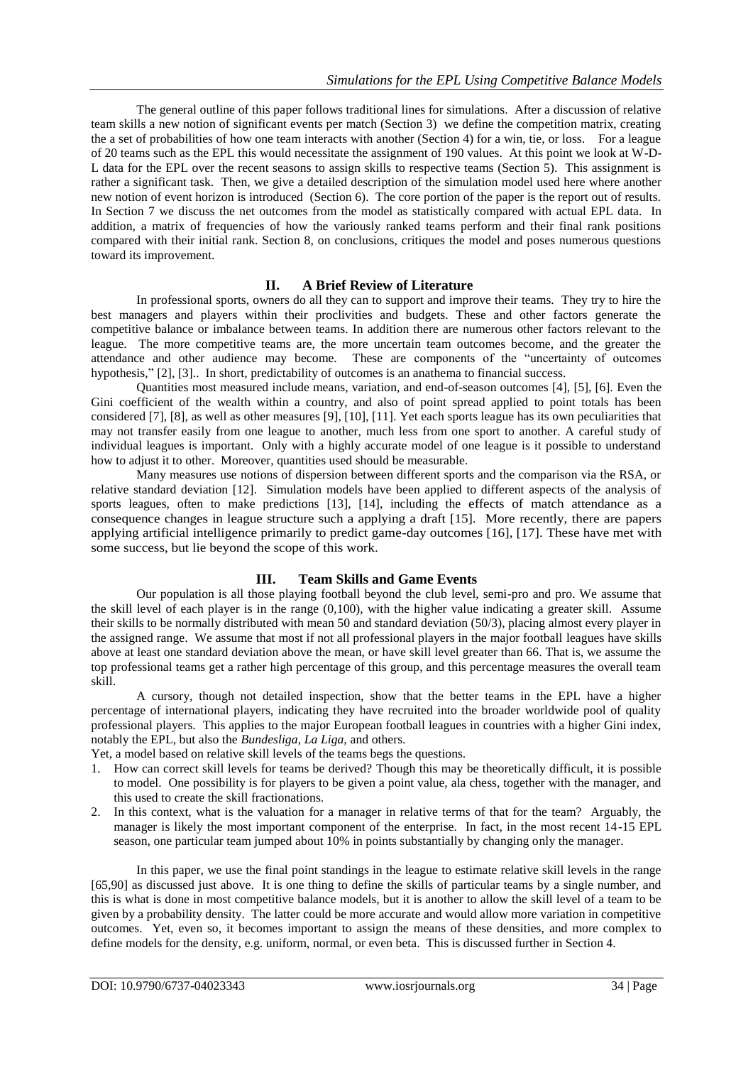The general outline of this paper follows traditional lines for simulations. After a discussion of relative team skills a new notion of significant events per match (Section 3) we define the competition matrix, creating the a set of probabilities of how one team interacts with another (Section 4) for a win, tie, or loss. For a league of 20 teams such as the EPL this would necessitate the assignment of 190 values. At this point we look at W-D-L data for the EPL over the recent seasons to assign skills to respective teams (Section  $\overline{5}$ ). This assignment is rather a significant task. Then, we give a detailed description of the simulation model used here where another new notion of event horizon is introduced (Section 6). The core portion of the paper is the report out of results. In Section 7 we discuss the net outcomes from the model as statistically compared with actual EPL data. In addition, a matrix of frequencies of how the variously ranked teams perform and their final rank positions compared with their initial rank. Section 8, on conclusions, critiques the model and poses numerous questions toward its improvement.

#### **II. A Brief Review of Literature**

In professional sports, owners do all they can to support and improve their teams. They try to hire the best managers and players within their proclivities and budgets. These and other factors generate the competitive balance or imbalance between teams. In addition there are numerous other factors relevant to the league. The more competitive teams are, the more uncertain team outcomes become, and the greater the attendance and other audience may become. These are components of the "uncertainty of outcomes hypothesis," [2], [3].. In short, predictability of outcomes is an anathema to financial success.

Quantities most measured include means, variation, and end-of-season outcomes [4], [5], [6]. Even the Gini coefficient of the wealth within a country, and also of point spread applied to point totals has been considered [7], [8], as well as other measures [9], [10], [11]. Yet each sports league has its own peculiarities that may not transfer easily from one league to another, much less from one sport to another. A careful study of individual leagues is important. Only with a highly accurate model of one league is it possible to understand how to adjust it to other. Moreover, quantities used should be measurable.

Many measures use notions of dispersion between different sports and the comparison via the RSA, or relative standard deviation [12]. Simulation models have been applied to different aspects of the analysis of sports leagues, often to make predictions [13], [14], including the effects of match attendance as a consequence changes in league structure such a applying a draft [15]. More recently, there are papers applying artificial intelligence primarily to predict game-day outcomes [16], [17]. These have met with some success, but lie beyond the scope of this work.

## **III. Team Skills and Game Events**

Our population is all those playing football beyond the club level, semi-pro and pro. We assume that the skill level of each player is in the range (0,100), with the higher value indicating a greater skill. Assume their skills to be normally distributed with mean 50 and standard deviation (50/3), placing almost every player in the assigned range. We assume that most if not all professional players in the major football leagues have skills above at least one standard deviation above the mean, or have skill level greater than 66. That is, we assume the top professional teams get a rather high percentage of this group, and this percentage measures the overall team skill.

A cursory, though not detailed inspection, show that the better teams in the EPL have a higher percentage of international players, indicating they have recruited into the broader worldwide pool of quality professional players. This applies to the major European football leagues in countries with a higher Gini index, notably the EPL, but also the *Bundesliga, La Liga,* and others.

Yet, a model based on relative skill levels of the teams begs the questions.

- 1. How can correct skill levels for teams be derived? Though this may be theoretically difficult, it is possible to model. One possibility is for players to be given a point value, ala chess, together with the manager, and this used to create the skill fractionations.
- 2. In this context, what is the valuation for a manager in relative terms of that for the team? Arguably, the manager is likely the most important component of the enterprise. In fact, in the most recent 14-15 EPL season, one particular team jumped about 10% in points substantially by changing only the manager.

In this paper, we use the final point standings in the league to estimate relative skill levels in the range [65,90] as discussed just above. It is one thing to define the skills of particular teams by a single number, and this is what is done in most competitive balance models, but it is another to allow the skill level of a team to be given by a probability density. The latter could be more accurate and would allow more variation in competitive outcomes. Yet, even so, it becomes important to assign the means of these densities, and more complex to define models for the density, e.g. uniform, normal, or even beta. This is discussed further in Section 4.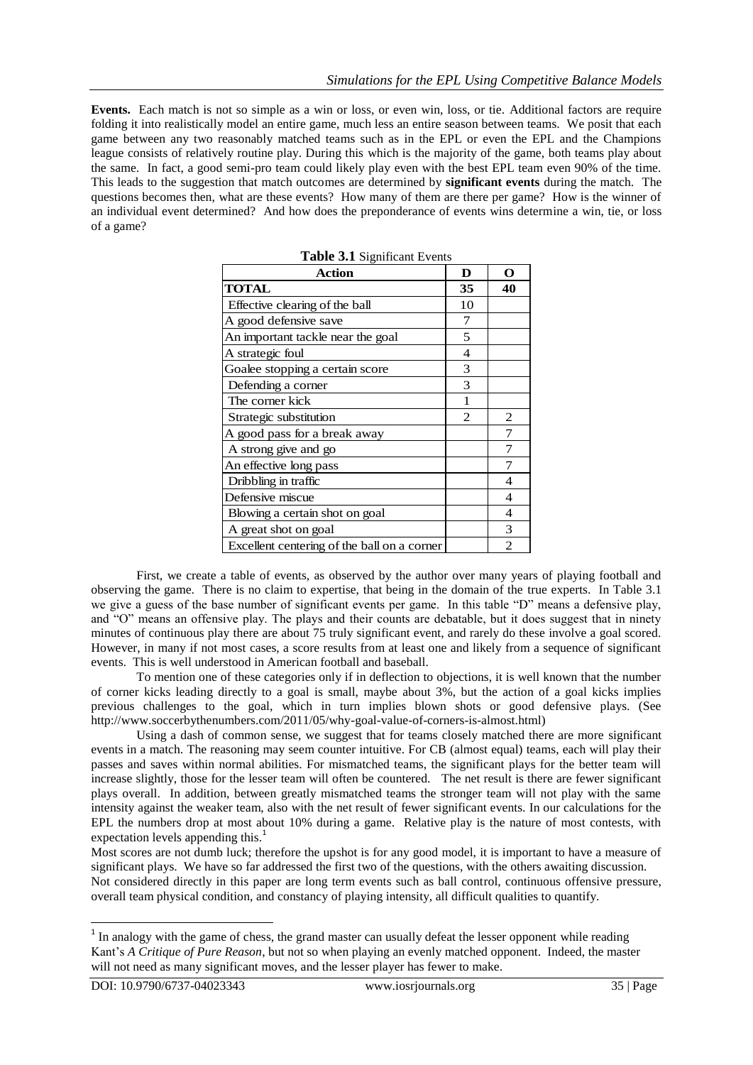**Events.** Each match is not so simple as a win or loss, or even win, loss, or tie. Additional factors are require folding it into realistically model an entire game, much less an entire season between teams. We posit that each game between any two reasonably matched teams such as in the EPL or even the EPL and the Champions league consists of relatively routine play. During this which is the majority of the game, both teams play about the same. In fact, a good semi-pro team could likely play even with the best EPL team even 90% of the time. This leads to the suggestion that match outcomes are determined by **significant events** during the match. The questions becomes then, what are these events? How many of them are there per game? How is the winner of an individual event determined? And how does the preponderance of events wins determine a win, tie, or loss of a game?

| <b>Action</b>                               | D              | O  |
|---------------------------------------------|----------------|----|
| <b>TOTAL</b>                                | 35             | 40 |
| Effective clearing of the ball              | 10             |    |
| A good defensive save                       | 7              |    |
| An important tackle near the goal           | 5              |    |
| A strategic foul                            | 4              |    |
| Goalee stopping a certain score             | 3              |    |
| Defending a corner                          | 3              |    |
| The corner kick                             |                |    |
| Strategic substitution                      | $\overline{2}$ | 2  |
| A good pass for a break away                |                |    |
| A strong give and go                        |                |    |
| An effective long pass                      |                |    |
| Dribbling in traffic                        |                | 4  |
| Defensive miscue                            |                | 4  |
| Blowing a certain shot on goal              |                | 4  |
| A great shot on goal                        |                | 3  |
| Excellent centering of the ball on a corner |                | っ  |

**Table 3.1** Significant Events

First, we create a table of events, as observed by the author over many years of playing football and observing the game. There is no claim to expertise, that being in the domain of the true experts. In Table 3.1 we give a guess of the base number of significant events per game. In this table "D" means a defensive play, and "O" means an offensive play. The plays and their counts are debatable, but it does suggest that in ninety minutes of continuous play there are about 75 truly significant event, and rarely do these involve a goal scored. However, in many if not most cases, a score results from at least one and likely from a sequence of significant events. This is well understood in American football and baseball.

To mention one of these categories only if in deflection to objections, it is well known that the number of corner kicks leading directly to a goal is small, maybe about 3%, but the action of a goal kicks implies previous challenges to the goal, which in turn implies blown shots or good defensive plays. (See http://www.soccerbythenumbers.com/2011/05/why-goal-value-of-corners-is-almost.html)

Using a dash of common sense, we suggest that for teams closely matched there are more significant events in a match. The reasoning may seem counter intuitive. For CB (almost equal) teams, each will play their passes and saves within normal abilities. For mismatched teams, the significant plays for the better team will increase slightly, those for the lesser team will often be countered. The net result is there are fewer significant plays overall. In addition, between greatly mismatched teams the stronger team will not play with the same intensity against the weaker team, also with the net result of fewer significant events. In our calculations for the EPL the numbers drop at most about 10% during a game. Relative play is the nature of most contests, with expectation levels appending this.<sup>1</sup>

Most scores are not dumb luck; therefore the upshot is for any good model, it is important to have a measure of significant plays. We have so far addressed the first two of the questions, with the others awaiting discussion. Not considered directly in this paper are long term events such as ball control, continuous offensive pressure, overall team physical condition, and constancy of playing intensity, all difficult qualities to quantify.

-

<sup>&</sup>lt;sup>1</sup> In analogy with the game of chess, the grand master can usually defeat the lesser opponent while reading Kant's *A Critique of Pure Reason*, but not so when playing an evenly matched opponent. Indeed, the master will not need as many significant moves, and the lesser player has fewer to make.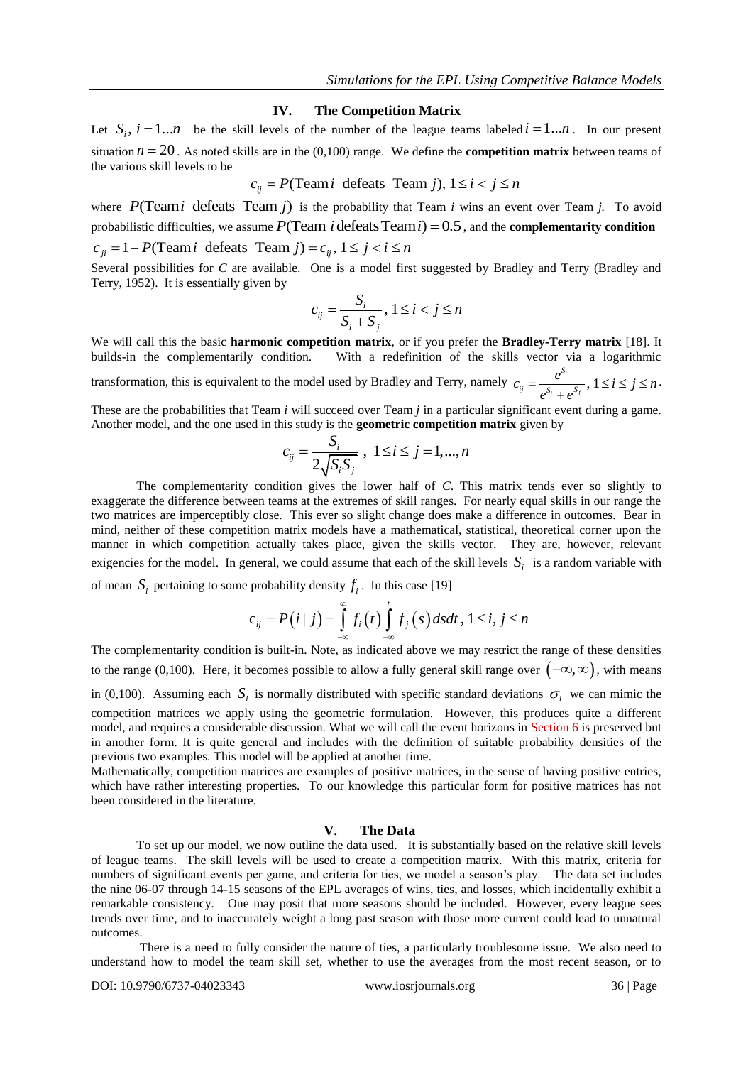#### **IV. The Competition Matrix**

Let  $S_i$ ,  $i = 1...n$  be the skill levels of the number of the league teams labeled  $i = 1...n$ . In our present situation *n* = 20. As noted skills are in the (0,100) range. We define the **competition matrix** between teams of the various skill levels to be  $c_{ij} = P(\text{Team } i \text{ defeats Team } j)$ ,  $1 \le i < j \le n$ the various skill levels to be

$$
c_{ii} = P
$$
(Team*i* defeats Team *j*),  $1 \le i < j \le n$ 

where  $P(\text{Team } i \text{ defeats Team } j)$  is the probability that Team *i* wins an event over Team *j*. To avoid where  $P($ **I** earn *I* defeats **I** earn *J*) is the probability that I eam *i* wins an event over I eam *J*. Io avoid probabilistic difficulties, we assume  $P(Tean i deteats Team i) = 0.5$ , and the **complementarity condition** probabilistic difficulties, we assume  $P(\text{Team } i \text{ defeats Team } i) = 0$ <br>probabilistic difficulties, we assume  $P(\text{Team } i \text{ defeats Team } i) = 0$ <br> $c_{ij} = 1 - P(\text{Team } i \text{ defeats Team } j) = c_{ij}, 1 \le j < i \le n$ 

Several possibilities for *C* are available. One is a model first suggested by Bradley and Terry (Bradley and Terry, 1952). It is essentially given by

$$
c_{ij} = \frac{S_i}{S_i + S_j}, 1 \le i < j \le n
$$

We will call this the basic **harmonic competition matrix**, or if you prefer the **Bradley-Terry matrix** [18]. It builds-in the complementarily condition. With a redefinition of the skills vector via a logarithmic With a redefinition of the skills vector via a logarithmic transformation, this is equivalent to the model used by Bradley and Terry, namely  $c_{ij} = \frac{e^{S_i}}{S_i}$ , 1  $i + \rho^{i}$ *S*  $\frac{y}{s}$   $S_i$   $S_i$  $c_{ij} = \frac{e^{S_i}}{s_{i} - s_{i}}$ ,  $1 \le i \le j \le n$  $e^{S_i} + e$  $=\frac{e^{S_i}}{e^{S_i}+e^{S_f}}$ ,  $1 \le i \le j \le n$ . .

These are the probabilities that Team *i* will succeed over Team *j* in a particular significant event during a game. Another model, and the one used in this study is the **geometric competition matrix** given by

$$
c_{ij} = \frac{S_i}{2\sqrt{S_i S_j}}, \ 1 \le i \le j = 1, ..., n
$$

The complementarity condition gives the lower half of *C*. This matrix tends ever so slightly to exaggerate the difference between teams at the extremes of skill ranges. For nearly equal skills in our range the two matrices are imperceptibly close. This ever so slight change does make a difference in outcomes. Bear in mind, neither of these competition matrix models have a mathematical, statistical, theoretical corner upon the manner in which competition actually takes place, given the skills vector. They are, however, relevant exigencies for the model. In general, we could assume that each of the skill levels  $S_i$  is a random variable with

of mean 
$$
S_i
$$
 pertaining to some probability density  $f_i$ . In this case [19]  

$$
c_{ij} = P(i | j) = \int_{-\infty}^{\infty} f_i(t) \int_{-\infty}^{t} f_j(s) ds dt, 1 \le i, j \le n
$$

The complementarity condition is built-in. Note, as indicated above we may restrict the range of these densities to the range (0,100). Here, it becomes possible to allow a fully general skill range over  $(-\infty,\infty)$ , with means in (0,100). Assuming each  $S_i$  is normally distributed with specific standard deviations  $\sigma_i$  we can mimic the competition matrices we apply using the geometric formulation. However, this produces quite a different model, and requires a considerable discussion. What we will call the event horizons in Section 6 is preserved but in another form. It is quite general and includes with the definition of suitable probability densities of the previous two examples. This model will be applied at another time.

Mathematically, competition matrices are examples of positive matrices, in the sense of having positive entries, which have rather interesting properties. To our knowledge this particular form for positive matrices has not been considered in the literature.

## **V. The Data**

To set up our model, we now outline the data used. It is substantially based on the relative skill levels of league teams. The skill levels will be used to create a competition matrix. With this matrix, criteria for numbers of significant events per game, and criteria for ties, we model a season's play. The data set includes the nine 06-07 through 14-15 seasons of the EPL averages of wins, ties, and losses, which incidentally exhibit a remarkable consistency. One may posit that more seasons should be included. However, every league sees trends over time, and to inaccurately weight a long past season with those more current could lead to unnatural outcomes.

There is a need to fully consider the nature of ties, a particularly troublesome issue. We also need to understand how to model the team skill set, whether to use the averages from the most recent season, or to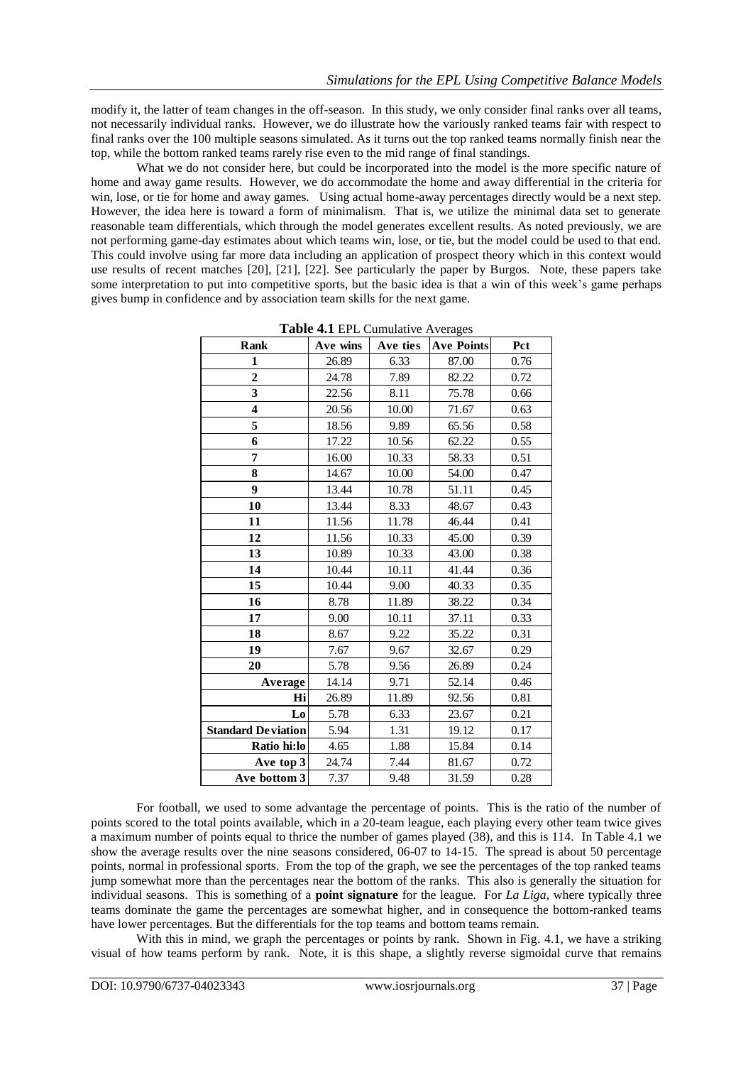modify it, the latter of team changes in the off-season. In this study, we only consider final ranks over all teams, not necessarily individual ranks. However, we do illustrate how the variously ranked teams fair with respect to final ranks over the 100 multiple seasons simulated. As it turns out the top ranked teams normally finish near the top, while the bottom ranked teams rarely rise even to the mid range of final standings.

What we do not consider here, but could be incorporated into the model is the more specific nature of home and away game results. However, we do accommodate the home and away differential in the criteria for win, lose, or tie for home and away games. Using actual home-away percentages directly would be a next step. However, the idea here is toward a form of minimalism. That is, we utilize the minimal data set to generate reasonable team differentials, which through the model generates excellent results. As noted previously, we are not performing game-day estimates about which teams win, lose, or tie, but the model could be used to that end. This could involve using far more data including an application of prospect theory which in this context would use results of recent matches [20], [21], [22]. See particularly the paper by Burgos. Note, these papers take some interpretation to put into competitive sports, but the basic idea is that a win of this week's game perhaps gives bump in confidence and by association team skills for the next game.

| <b>Rank</b>               | Ave wins | Ave ties | <b>Ave Points</b> | Pct  |
|---------------------------|----------|----------|-------------------|------|
| 1                         | 26.89    | 6.33     | 87.00             | 0.76 |
| $\overline{2}$            | 24.78    | 7.89     | 82.22             | 0.72 |
| 3                         | 22.56    | 8.11     | 75.78             | 0.66 |
| 4                         | 20.56    | 10.00    | 71.67             | 0.63 |
| 5                         | 18.56    | 9.89     | 65.56             | 0.58 |
| 6                         | 17.22    | 10.56    | 62.22             | 0.55 |
| 7                         | 16.00    | 10.33    | 58.33             | 0.51 |
| 8                         | 14.67    | 10.00    | 54.00             | 0.47 |
| 9                         | 13.44    | 10.78    | 51.11             | 0.45 |
| 10                        | 13.44    | 8.33     | 48.67             | 0.43 |
| 11                        | 11.56    | 11.78    | 46.44             | 0.41 |
| 12                        | 11.56    | 10.33    | 45.00             | 0.39 |
| 13                        | 10.89    | 10.33    | 43.00             | 0.38 |
| 14                        | 10.44    | 10.11    | 41.44             | 0.36 |
| 15                        | 10.44    | 9.00     | 40.33             | 0.35 |
| 16                        | 8.78     | 11.89    | 38.22             | 0.34 |
| 17                        | 9.00     | 10.11    | 37.11             | 0.33 |
| 18                        | 8.67     | 9.22     | 35.22             | 0.31 |
| 19                        | 7.67     | 9.67     | 32.67             | 0.29 |
| 20                        | 5.78     | 9.56     | 26.89             | 0.24 |
| Average                   | 14.14    | 9.71     | 52.14             | 0.46 |
| Hi                        | 26.89    | 11.89    | 92.56             | 0.81 |
| L <sub>0</sub>            | 5.78     | 6.33     | 23.67             | 0.21 |
| <b>Standard Deviation</b> | 5.94     | 1.31     | 19.12             | 0.17 |
| Ratio hi:lo               | 4.65     | 1.88     | 15.84             | 0.14 |
| Ave top 3                 | 24.74    | 7.44     | 81.67             | 0.72 |
| Ave bottom 3              | 7.37     | 9.48     | 31.59             | 0.28 |

**Table 4.1** EPL Cumulative Averages

For football, we used to some advantage the percentage of points. This is the ratio of the number of points scored to the total points available, which in a 20-team league, each playing every other team twice gives a maximum number of points equal to thrice the number of games played (38), and this is 114. In Table 4.1 we show the average results over the nine seasons considered, 06-07 to 14-15. The spread is about 50 percentage points, normal in professional sports. From the top of the graph, we see the percentages of the top ranked teams jump somewhat more than the percentages near the bottom of the ranks. This also is generally the situation for individual seasons. This is something of a **point signature** for the league. For *La Liga,* where typically three teams dominate the game the percentages are somewhat higher, and in consequence the bottom-ranked teams have lower percentages. But the differentials for the top teams and bottom teams remain.

With this in mind, we graph the percentages or points by rank. Shown in Fig. 4.1, we have a striking visual of how teams perform by rank. Note, it is this shape, a slightly reverse sigmoidal curve that remains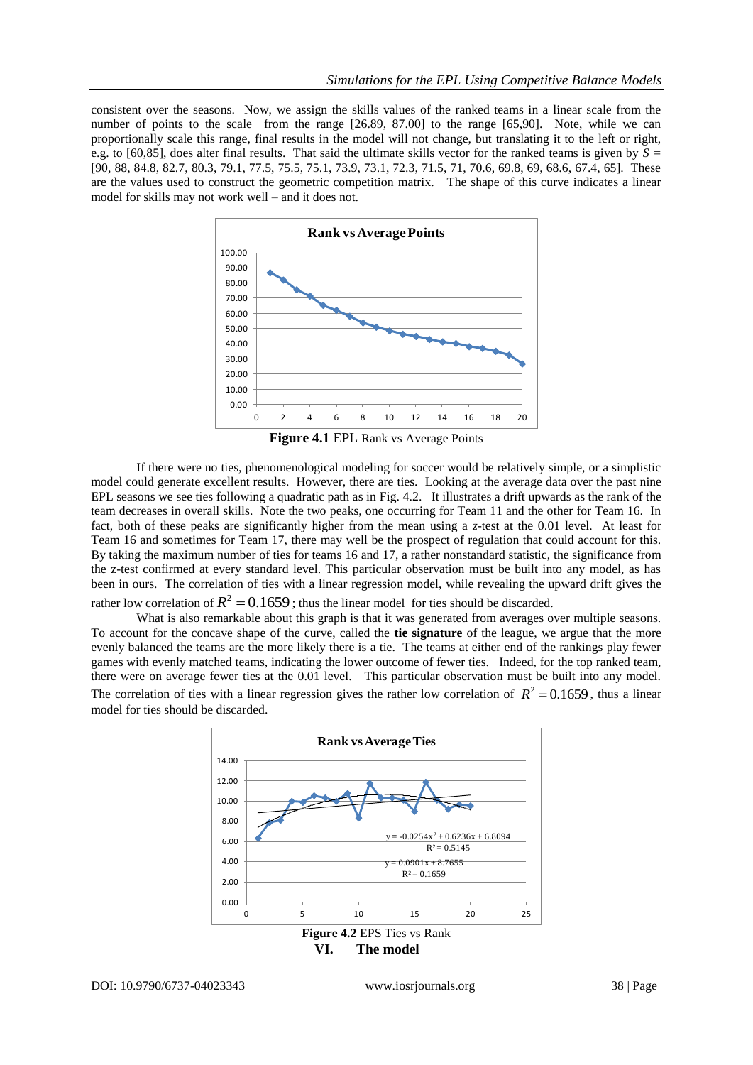consistent over the seasons. Now, we assign the skills values of the ranked teams in a linear scale from the number of points to the scale from the range [26.89, 87.00] to the range [65,90]. Note, while we can proportionally scale this range, final results in the model will not change, but translating it to the left or right, e.g. to [60,85], does alter final results. That said the ultimate skills vector for the ranked teams is given by *S =*  [90, 88, 84.8, 82.7, 80.3, 79.1, 77.5, 75.5, 75.1, 73.9, 73.1, 72.3, 71.5, 71, 70.6, 69.8, 69, 68.6, 67.4, 65]. These are the values used to construct the geometric competition matrix. The shape of this curve indicates a linear model for skills may not work well – and it does not.



**Figure 4.1** EPL Rank vs Average Points

If there were no ties, phenomenological modeling for soccer would be relatively simple, or a simplistic model could generate excellent results. However, there are ties. Looking at the average data over the past nine EPL seasons we see ties following a quadratic path as in Fig. 4.2. It illustrates a drift upwards as the rank of the team decreases in overall skills. Note the two peaks, one occurring for Team 11 and the other for Team 16. In fact, both of these peaks are significantly higher from the mean using a *z*-test at the 0.01 level. At least for Team 16 and sometimes for Team 17, there may well be the prospect of regulation that could account for this. By taking the maximum number of ties for teams 16 and 17, a rather nonstandard statistic, the significance from the z-test confirmed at every standard level. This particular observation must be built into any model, as has been in ours. The correlation of ties with a linear regression model, while revealing the upward drift gives the rather low correlation of  $R^2 = 0.1659$ ; thus the linear model for ties should be discarded.

What is also remarkable about this graph is that it was generated from averages over multiple seasons. To account for the concave shape of the curve, called the **tie signature** of the league, we argue that the more evenly balanced the teams are the more likely there is a tie. The teams at either end of the rankings play fewer games with evenly matched teams, indicating the lower outcome of fewer ties. Indeed, for the top ranked team, there were on average fewer ties at the 0.01 level. This particular observation must be built into any model. The correlation of ties with a linear regression gives the rather low correlation of  $R^2 = 0.1659$ , thus a linear model for ties should be discarded.

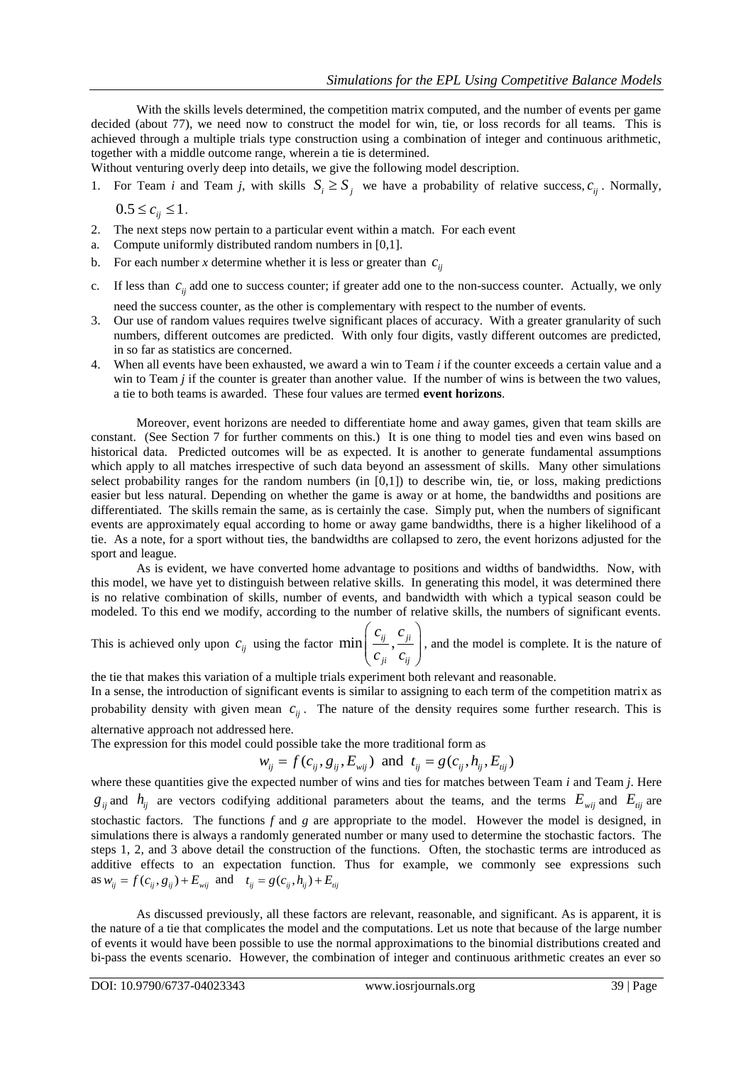With the skills levels determined, the competition matrix computed, and the number of events per game decided (about 77), we need now to construct the model for win, tie, or loss records for all teams. This is achieved through a multiple trials type construction using a combination of integer and continuous arithmetic, together with a middle outcome range, wherein a tie is determined.

Without venturing overly deep into details, we give the following model description.

- 1. For Team *i* and Team *j*, with skills  $S_i \geq S_j$  we have a probability of relative success,  $c_{ij}$ . Normally,  $0.5 \leq c_{ii} \leq 1$ .
- 2. The next steps now pertain to a particular event within a match. For each event
- a. Compute uniformly distributed random numbers in [0,1].
- b. For each number *x* determine whether it is less or greater than  $c_{ij}$
- c. If less than  $c_{ij}$  add one to success counter; if greater add one to the non-success counter. Actually, we only need the success counter, as the other is complementary with respect to the number of events.
- 3. Our use of random values requires twelve significant places of accuracy. With a greater granularity of such numbers, different outcomes are predicted. With only four digits, vastly different outcomes are predicted, in so far as statistics are concerned.
- 4. When all events have been exhausted, we award a win to Team *i* if the counter exceeds a certain value and a win to Team *j* if the counter is greater than another value. If the number of wins is between the two values, a tie to both teams is awarded. These four values are termed **event horizons**.

Moreover, event horizons are needed to differentiate home and away games, given that team skills are constant. (See Section 7 for further comments on this.) It is one thing to model ties and even wins based on historical data. Predicted outcomes will be as expected. It is another to generate fundamental assumptions which apply to all matches irrespective of such data beyond an assessment of skills. Many other simulations select probability ranges for the random numbers (in [0,1]) to describe win, tie, or loss, making predictions easier but less natural. Depending on whether the game is away or at home, the bandwidths and positions are differentiated. The skills remain the same, as is certainly the case. Simply put, when the numbers of significant events are approximately equal according to home or away game bandwidths, there is a higher likelihood of a tie. As a note, for a sport without ties, the bandwidths are collapsed to zero, the event horizons adjusted for the sport and league.

As is evident, we have converted home advantage to positions and widths of bandwidths. Now, with this model, we have yet to distinguish between relative skills. In generating this model, it was determined there is no relative combination of skills, number of events, and bandwidth with which a typical season could be modeled. To this end we modify, according to the number of relative skills, the numbers of significant events.

This is achieved only upon  $c_{ij}$  using the factor min  $\left| \frac{c_{ij}}{\cdot} , \frac{c_{ji}}{\cdot} \right|$ *ji ij*  $c_{ii}$  *c*  $\left(\frac{c_{ij}}{c_{ji}}, \frac{c_{ji}}{c_{ij}}\right),$ , and the model is complete. It is the nature of

the tie that makes this variation of a multiple trials experiment both relevant and reasonable.

In a sense, the introduction of significant events is similar to assigning to each term of the competition matrix as probability density with given mean  $c_{ij}$ . The nature of the density requires some further research. This is alternative approach not addressed here.

The expression for this model could possible take the more traditional form as  $w_{ij} = f(c_{ij}, g_{ij}, E_{wij})$  and  $t_{ij} = g(c_{ij}, h_{ij}, E_{ij})$ 

$$
w_{ij} = f(c_{ij}, g_{ij}, E_{wij})
$$
 and  $t_{ij} = g(c_{ij}, h_{ij}, E_{ij})$ 

where these quantities give the expected number of wins and ties for matches between Team *i* and Team *j*. Here  $g_{ij}$  and  $h_{ij}$  are vectors codifying additional parameters about the teams, and the terms  $E_{wij}$  and  $E_{ij}$  are stochastic factors. The functions *f* and *g* are appropriate to the model. However the model is designed, in simulations there is always a randomly generated number or many used to determine the stochastic factors. The steps 1, 2, and 3 above detail the construction of the functions. Often, the stochastic terms are introduced as additive effects to an expectation function. Thus for example, we commonly see expressions such as  $w_{ij} = f(c_{ij}, g_{ij}) + E_{wij}$  and  $t_{ij} = g(c_{ij}, h_{ij}) + E_{ij}$ 

As discussed previously, all these factors are relevant, reasonable, and significant. As is apparent, it is the nature of a tie that complicates the model and the computations. Let us note that because of the large number of events it would have been possible to use the normal approximations to the binomial distributions created and bi-pass the events scenario. However, the combination of integer and continuous arithmetic creates an ever so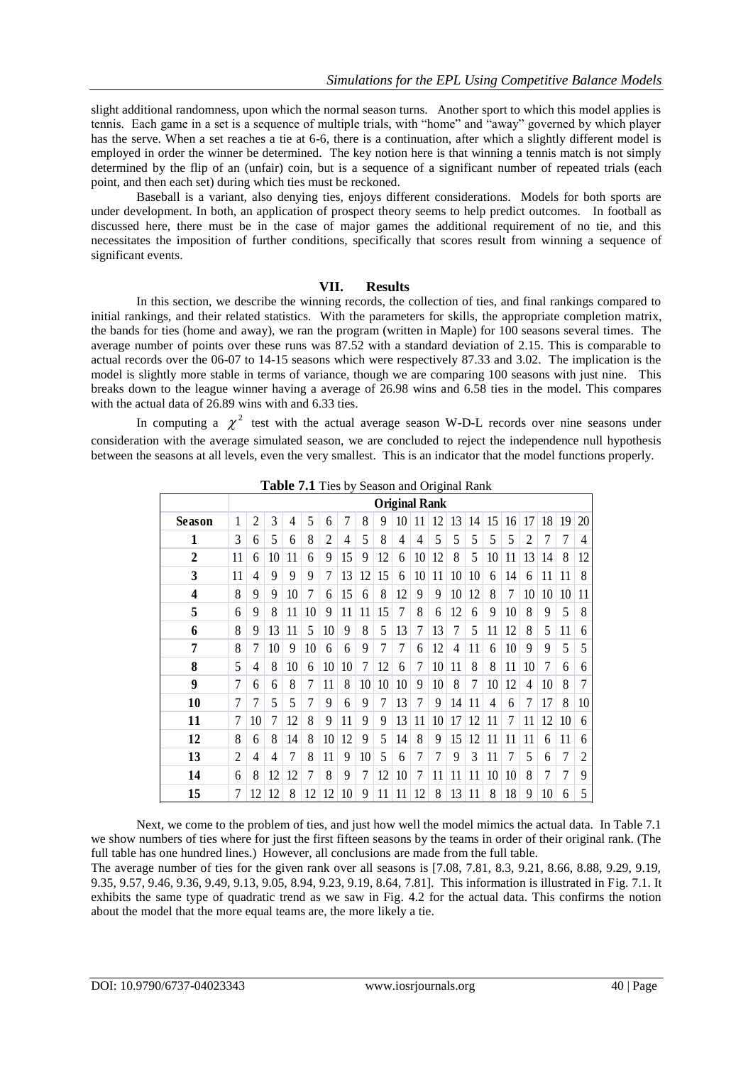slight additional randomness, upon which the normal season turns. Another sport to which this model applies is tennis. Each game in a set is a sequence of multiple trials, with "home" and "away" governed by which player has the serve. When a set reaches a tie at 6-6, there is a continuation, after which a slightly different model is employed in order the winner be determined. The key notion here is that winning a tennis match is not simply determined by the flip of an (unfair) coin, but is a sequence of a significant number of repeated trials (each point, and then each set) during which ties must be reckoned.

Baseball is a variant, also denying ties, enjoys different considerations. Models for both sports are under development. In both, an application of prospect theory seems to help predict outcomes. In football as discussed here, there must be in the case of major games the additional requirement of no tie, and this necessitates the imposition of further conditions, specifically that scores result from winning a sequence of significant events.

## **VII. Results**

In this section, we describe the winning records, the collection of ties, and final rankings compared to initial rankings, and their related statistics. With the parameters for skills, the appropriate completion matrix, the bands for ties (home and away), we ran the program (written in Maple) for 100 seasons several times. The average number of points over these runs was 87.52 with a standard deviation of 2.15. This is comparable to actual records over the 06-07 to 14-15 seasons which were respectively 87.33 and 3.02. The implication is the model is slightly more stable in terms of variance, though we are comparing 100 seasons with just nine. This breaks down to the league winner having a average of 26.98 wins and 6.58 ties in the model. This compares with the actual data of 26.89 wins with and 6.33 ties.

In computing a  $\chi^2$  test with the actual average season W-D-L records over nine seasons under consideration with the average simulated season, we are concluded to reject the independence null hypothesis between the seasons at all levels, even the very smallest. This is an indicator that the model functions properly.

|                |                | <b>Table 7.1</b> Ties by Season and Original Kalik |    |    |    |                |    |    |    |    |    |    |    |    |    |    |                |    |    |    |
|----------------|----------------|----------------------------------------------------|----|----|----|----------------|----|----|----|----|----|----|----|----|----|----|----------------|----|----|----|
|                |                | <b>Original Rank</b>                               |    |    |    |                |    |    |    |    |    |    |    |    |    |    |                |    |    |    |
| Season         | 1              | $\overline{2}$                                     | 3  | 4  | 5  | 6              | 7  | 8  | 9  | 10 | 11 | 12 | 13 | 14 | 15 | 16 | 17             | 18 | 19 | 20 |
| 1              | 3              | 6                                                  | 5  | 6  | 8  | $\overline{2}$ | 4  | 5  | 8  | 4  | 4  | 5  | 5  | 5  | 5  | 5  | $\overline{c}$ | 7  | 7  | 4  |
| $\overline{2}$ | 11             | 6                                                  | 10 | 11 | 6  | 9              | 15 | 9  | 12 | 6  | 10 | 12 | 8  | 5  | 10 | 11 | 13             | 14 | 8  | 12 |
| 3              | 11             | 4                                                  | 9  | 9  | 9  | 7              | 13 | 12 | 15 | 6  | 10 | 11 | 10 | 10 | 6  | 14 | 6              | 11 | 11 | 8  |
| 4              | 8              | 9                                                  | 9  | 10 | 7  | 6              | 15 | 6  | 8  | 12 | 9  | 9  | 10 | 12 | 8  | 7  | 10             | 10 | 10 | 11 |
| 5              | 6              | 9                                                  | 8  | 11 | 10 | 9              | 11 | 11 | 15 | 7  | 8  | 6  | 12 | 6  | 9  | 10 | 8              | 9  | 5  | 8  |
| 6              | 8              | 9                                                  | 13 | 11 | 5  | 10             | 9  | 8  | 5  | 13 | 7  | 13 | 7  | 5  | 11 | 12 | 8              | 5  | 11 | 6  |
| 7              | 8              | 7                                                  | 10 | 9  | 10 | 6              | 6  | 9  | 7  | 7  | 6  | 12 | 4  | 11 | 6  | 10 | 9              | 9  | 5  | 5  |
| 8              | 5              | 4                                                  | 8  | 10 | 6  | 10             | 10 | 7  | 12 | 6  | 7  | 10 | 11 | 8  | 8  | 11 | 10             | 7  | 6  | 6  |
| 9              | 7              | 6                                                  | 6  | 8  | 7  | 11             | 8  | 10 | 10 | 10 | 9  | 10 | 8  | 7  | 10 | 12 | 4              | 10 | 8  | 7  |
| 10             | 7              | 7                                                  | 5  | 5  | 7  | 9              | 6  | 9  | 7  | 13 | 7  | 9  | 14 | 11 | 4  | 6  | 7              | 17 | 8  | 10 |
| 11             | 7              | 10                                                 | 7  | 12 | 8  | 9              | 11 | 9  | 9  | 13 | 11 | 10 | 17 | 12 | 11 | 7  | 11             | 12 | 10 | 6  |
| 12             | 8              | 6                                                  | 8  | 14 | 8  | 10             | 12 | 9  | 5  | 14 | 8  | 9  | 15 | 12 | 11 | 11 | 11             | 6  | 11 | 6  |
| 13             | $\overline{2}$ | 4                                                  | 4  | 7  | 8  | 11             | 9  | 10 | 5  | 6  | 7  | 7  | 9  | 3  | 11 | 7  | 5              | 6  | 7  | 2  |
| 14             | 6              | 8                                                  | 12 | 12 | 7  | 8              | 9  | 7  | 12 | 10 | 7  | 11 | 11 | 11 | 10 | 10 | 8              | 7  | 7  | 9  |
| 15             | 7              | 12                                                 | 12 | 8  | 12 | 12             | 10 | 9  | 11 | 11 | 12 | 8  | 13 | 11 | 8  | 18 | 9              | 10 | 6  | 5  |

**Table 7.1** Ties by Season and Original Rank

Next, we come to the problem of ties, and just how well the model mimics the actual data. In Table 7.1 we show numbers of ties where for just the first fifteen seasons by the teams in order of their original rank. (The full table has one hundred lines.) However, all conclusions are made from the full table.

The average number of ties for the given rank over all seasons is [7.08, 7.81, 8.3, 9.21, 8.66, 8.88, 9.29, 9.19, 9.35, 9.57, 9.46, 9.36, 9.49, 9.13, 9.05, 8.94, 9.23, 9.19, 8.64, 7.81]. This information is illustrated in Fig. 7.1. It exhibits the same type of quadratic trend as we saw in Fig. 4.2 for the actual data. This confirms the notion about the model that the more equal teams are, the more likely a tie.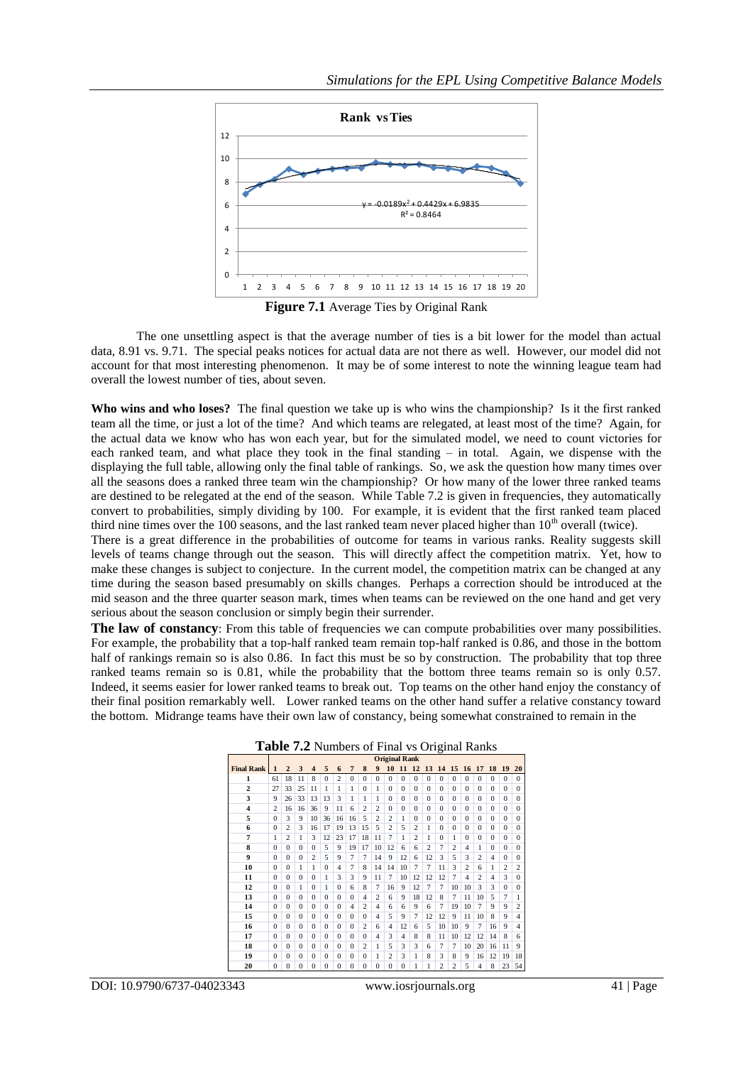

**Figure 7.1** Average Ties by Original Rank

The one unsettling aspect is that the average number of ties is a bit lower for the model than actual data, 8.91 vs. 9.71. The special peaks notices for actual data are not there as well. However, our model did not account for that most interesting phenomenon. It may be of some interest to note the winning league team had overall the lowest number of ties, about seven.

**Who wins and who loses?** The final question we take up is who wins the championship? Is it the first ranked team all the time, or just a lot of the time? And which teams are relegated, at least most of the time? Again, for the actual data we know who has won each year, but for the simulated model, we need to count victories for each ranked team, and what place they took in the final standing – in total. Again, we dispense with the displaying the full table, allowing only the final table of rankings. So, we ask the question how many times over all the seasons does a ranked three team win the championship? Or how many of the lower three ranked teams are destined to be relegated at the end of the season. While Table 7.2 is given in frequencies, they automatically convert to probabilities, simply dividing by 100. For example, it is evident that the first ranked team placed third nine times over the 100 seasons, and the last ranked team never placed higher than  $10<sup>th</sup>$  overall (twice).

There is a great difference in the probabilities of outcome for teams in various ranks. Reality suggests skill levels of teams change through out the season. This will directly affect the competition matrix. Yet, how to make these changes is subject to conjecture. In the current model, the competition matrix can be changed at any time during the season based presumably on skills changes. Perhaps a correction should be introduced at the mid season and the three quarter season mark, times when teams can be reviewed on the one hand and get very serious about the season conclusion or simply begin their surrender.

**The law of constancy**: From this table of frequencies we can compute probabilities over many possibilities. For example, the probability that a top-half ranked team remain top-half ranked is 0.86, and those in the bottom half of rankings remain so is also 0.86. In fact this must be so by construction. The probability that top three ranked teams remain so is 0.81, while the probability that the bottom three teams remain so is only 0.57. Indeed, it seems easier for lower ranked teams to break out. Top teams on the other hand enjoy the constancy of their final position remarkably well. Lower ranked teams on the other hand suffer a relative constancy toward the bottom. Midrange teams have their own law of constancy, being somewhat constrained to remain in the

| <b>Table 7.2</b> Numbers of Final Vs Original Ranks |                |                |              |                         |              |                |                |                |                |                      |                |                |                |                |                |                |                   |                |                |                |
|-----------------------------------------------------|----------------|----------------|--------------|-------------------------|--------------|----------------|----------------|----------------|----------------|----------------------|----------------|----------------|----------------|----------------|----------------|----------------|-------------------|----------------|----------------|----------------|
|                                                     |                |                |              |                         |              |                |                |                |                | <b>Original Rank</b> |                |                |                |                |                |                |                   |                |                |                |
| <b>Final Rank</b>                                   | $\mathbf{1}$   | $\overline{2}$ | 3            | $\overline{\mathbf{4}}$ | 5            | 6              | $\overline{7}$ | 8              | 9              | 10                   | 11             | 12             | 13             | 14 15          |                | 16             | 17                | 18             | 19             | 20             |
| 1                                                   | 61             | 18             | 11           | 8                       | $\Omega$     | $\overline{c}$ | $\Omega$       | $\Omega$       | $\Omega$       | $\Omega$             | $\Omega$       | $\Omega$       | $\Omega$       | $\Omega$       | $\Omega$       | $\Omega$       | $\Omega$          | $\Omega$       | $\Omega$       | $\Omega$       |
| $\mathbf{2}$                                        | 27             | 33             | 25           | 11                      | 1            | 1              | 1              | $\theta$       | 1              | $\Omega$             | $\Omega$       | $\theta$       | $\theta$       | $\theta$       | $\theta$       | $\theta$       | $\Omega$          | $\theta$       | $\Omega$       | $\Omega$       |
| 3                                                   | 9              | 26             | 33           | 13                      | 13           | 3              | 1              | 1              | 1              | $\Omega$             | $\Omega$       | $\Omega$       | $\Omega$       | $\Omega$       | $\theta$       | $\Omega$       | $\Omega$          | $\Omega$       | $\Omega$       | $\Omega$       |
| $\overline{\mathbf{4}}$                             | $\overline{c}$ | 16             | 16           | 36                      | 9            | 11             | 6              | $\overline{c}$ | $\overline{c}$ | $\Omega$             | $\Omega$       | $\Omega$       | $\Omega$       | $\Omega$       | $\Omega$       | $\Omega$       | $\Omega$          | $\Omega$       | $\Omega$       | $\Omega$       |
| 5                                                   | $\Omega$       | 3              | 9            | 10                      | 36           | 16             | 16             | 5              | $\overline{c}$ | $\overline{c}$       | 1              | $\Omega$       | $\Omega$       | $\Omega$       | $\theta$       | $\Omega$       | $\Omega$          | $\Omega$       | $\Omega$       | $\Omega$       |
| 6                                                   | $\Omega$       | $\overline{c}$ | 3            | 16                      | 17           | 19             | 13             | 15             | 5              | $\overline{c}$       | 5              | $\overline{c}$ | 1              | $\Omega$       | $\Omega$       | $\Omega$       | $\Omega$          | $\Omega$       | $\Omega$       | $\Omega$       |
| 7                                                   | 1              | $\overline{c}$ | 1            | 3                       | 12           | 23             | 17             | 18             | 11             | 7                    | 1              | $\overline{c}$ | 1              | $\Omega$       | 1              | $\Omega$       | $\Omega$          | $\Omega$       | $\Omega$       | $\Omega$       |
| 8                                                   | $\Omega$       | $\Omega$       | $\Omega$     | $\Omega$                | 5            | 9              | 19             | 17             | 10             | 12                   | 6              | 6              | $\overline{c}$ | $\overline{7}$ | $\overline{c}$ | $\overline{4}$ | 1                 | $\Omega$       | $\Omega$       | $\Omega$       |
| 9                                                   | $\Omega$       | $\Omega$       | $\Omega$     | $\overline{c}$          | 5            | 9              | 7              | 7              | 14             | 9                    | 12             | 6              | 12             | 3              | 5              | 3              | $\overline{c}$    | $\overline{4}$ | $\Omega$       | $\Omega$       |
| 10                                                  | $\Omega$       | $\Omega$       | 1            | 1                       | $\Omega$     | $\overline{4}$ | $\overline{7}$ | 8              | 14             | 14                   | 10             | 7              | $\overline{7}$ | 11             | 3              | $\overline{c}$ | 6                 | 1              | $\overline{c}$ | $\overline{c}$ |
| 11                                                  | $\Omega$       | $\Omega$       | $\Omega$     | $\Omega$                | 1            | 3              | 3              | 9              | 11             | 7                    | 10             | 12             | 12             | 12             | 7              | $\overline{4}$ | $\overline{c}$    | $\overline{4}$ | 3              | $\Omega$       |
| 12                                                  | $\Omega$       | $\Omega$       | 1            | $\Omega$                | 1            | $\Omega$       | 6              | 8              | $\overline{7}$ | 16                   | 9              | 12             | $\overline{7}$ | 7              | 10             | 10             | 3                 | 3              | $\Omega$       | $\Omega$       |
| 13                                                  | $\Omega$       | $\Omega$       | $\Omega$     | $\Omega$                | $\Omega$     | $\Omega$       | $\Omega$       | $\overline{4}$ | 2              | 6                    | 9              | 18             | 12             | 8              | 7              | 11             | 10                | 5              | $\overline{7}$ | 1              |
| 14                                                  | $\Omega$       | $\Omega$       | $\theta$     | $\Omega$                | $\Omega$     | $\Omega$       | $\overline{4}$ | $\overline{c}$ | $\overline{4}$ | 6                    | 6              | 9              | 6              | $\overline{7}$ | 19             | 10             | 7                 | 9              | 9              | $\overline{c}$ |
| 15                                                  | $\Omega$       | $\Omega$       | $\Omega$     | $\Omega$                | $\Omega$     | $\Omega$       | $\Omega$       | $\Omega$       | $\overline{4}$ | 5                    | 9              | 7              | 12             | 12             | 9              | 11             | 10                | 8              | 9              | $\overline{4}$ |
| 16                                                  | $\Omega$       | $\Omega$       | $\Omega$     | $\Omega$                | $\Omega$     | $\Omega$       | $\Omega$       | $\overline{c}$ | 6              | $\overline{4}$       | 12             | 6              | 5              | 10             | 10             | 9              | 7                 | 16             | 9              | $\overline{4}$ |
| 17                                                  | $\Omega$       | $\Omega$       | $\Omega$     | $\Omega$                | $\Omega$     | $\Omega$       | $\Omega$       | $\Omega$       | $\overline{4}$ | 3                    | $\overline{4}$ | 8              | 8              | 11             | 10             | 12             | $12 \overline{ }$ | 14             | 8              | 6              |
| 18                                                  | $\Omega$       | $\Omega$       | $\Omega$     | $\Omega$                | $\Omega$     | $\Omega$       | $\Omega$       | $\overline{c}$ | 1              | 5                    | 3              | 3              | 6              | 7              | 7              | 10             | 20                | 16             | 11             | 9              |
| 19                                                  | $\Omega$       | $\Omega$       | $\Omega$     | $\Omega$                | $\Omega$     | $\Omega$       | $\Omega$       | $\Omega$       | 1              | $\overline{c}$       | 3              | 1              | 8              | 3              | 8              | 9              | 16                | 12             | 19             | 18             |
| 20                                                  | $\mathbf{0}$   | $\mathbf{0}$   | $\mathbf{0}$ | $\Omega$                | $\mathbf{0}$ | $\Omega$       | $\bf{0}$       | $\bf{0}$       | $\Omega$       | $\bf{0}$             | $\mathbf{0}$   | 1              | 1              | $\overline{c}$ | $\overline{c}$ | 5              | 4                 | 8              | 23             | 54             |
|                                                     |                |                |              |                         |              |                |                |                |                |                      |                |                |                |                |                |                |                   |                |                |                |

**Table 7.2** Numbers of Final vs Original Ranks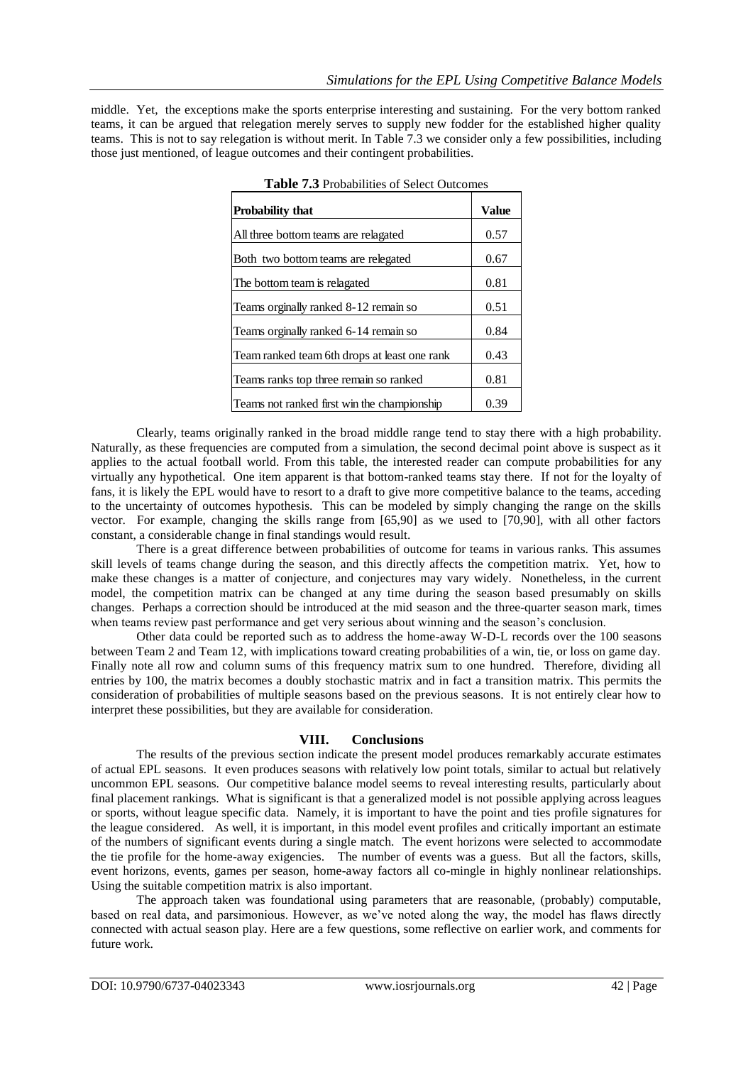middle. Yet, the exceptions make the sports enterprise interesting and sustaining. For the very bottom ranked teams, it can be argued that relegation merely serves to supply new fodder for the established higher quality teams. This is not to say relegation is without merit. In Table 7.3 we consider only a few possibilities, including those just mentioned, of league outcomes and their contingent probabilities.

| <b>Table 7.3</b> Probabilities of Select Outcomes |              |
|---------------------------------------------------|--------------|
| Probability that                                  | <b>Value</b> |
| All three bottom teams are relagated              | 0.57         |
| Both two bottom teams are relegated               | 0.67         |
| The bottom team is relagated                      | 0.81         |
| Teams orginally ranked 8-12 remain so             | 0.51         |
| Teams orginally ranked 6-14 remain so             | 0.84         |
| Team ranked team 6th drops at least one rank      | 0.43         |
| Teams ranks top three remain so ranked            | 0.81         |
| Teams not ranked first win the championship       | 0.39         |

| <b>Table 7.3</b> Probabilities of Select Outcomes |
|---------------------------------------------------|
|---------------------------------------------------|

Clearly, teams originally ranked in the broad middle range tend to stay there with a high probability. Naturally, as these frequencies are computed from a simulation, the second decimal point above is suspect as it applies to the actual football world. From this table, the interested reader can compute probabilities for any virtually any hypothetical. One item apparent is that bottom-ranked teams stay there. If not for the loyalty of fans, it is likely the EPL would have to resort to a draft to give more competitive balance to the teams, acceding to the uncertainty of outcomes hypothesis. This can be modeled by simply changing the range on the skills vector. For example, changing the skills range from [65,90] as we used to [70,90], with all other factors constant, a considerable change in final standings would result.

There is a great difference between probabilities of outcome for teams in various ranks. This assumes skill levels of teams change during the season, and this directly affects the competition matrix. Yet, how to make these changes is a matter of conjecture, and conjectures may vary widely. Nonetheless, in the current model, the competition matrix can be changed at any time during the season based presumably on skills changes. Perhaps a correction should be introduced at the mid season and the three-quarter season mark, times when teams review past performance and get very serious about winning and the season's conclusion.

Other data could be reported such as to address the home-away W-D-L records over the 100 seasons between Team 2 and Team 12, with implications toward creating probabilities of a win, tie, or loss on game day. Finally note all row and column sums of this frequency matrix sum to one hundred. Therefore, dividing all entries by 100, the matrix becomes a doubly stochastic matrix and in fact a transition matrix. This permits the consideration of probabilities of multiple seasons based on the previous seasons. It is not entirely clear how to interpret these possibilities, but they are available for consideration.

#### **VIII. Conclusions**

The results of the previous section indicate the present model produces remarkably accurate estimates of actual EPL seasons. It even produces seasons with relatively low point totals, similar to actual but relatively uncommon EPL seasons. Our competitive balance model seems to reveal interesting results, particularly about final placement rankings. What is significant is that a generalized model is not possible applying across leagues or sports, without league specific data. Namely, it is important to have the point and ties profile signatures for the league considered. As well, it is important, in this model event profiles and critically important an estimate of the numbers of significant events during a single match. The event horizons were selected to accommodate the tie profile for the home-away exigencies. The number of events was a guess. But all the factors, skills, event horizons, events, games per season, home-away factors all co-mingle in highly nonlinear relationships. Using the suitable competition matrix is also important.

The approach taken was foundational using parameters that are reasonable, (probably) computable, based on real data, and parsimonious. However, as we've noted along the way, the model has flaws directly connected with actual season play. Here are a few questions, some reflective on earlier work, and comments for future work.